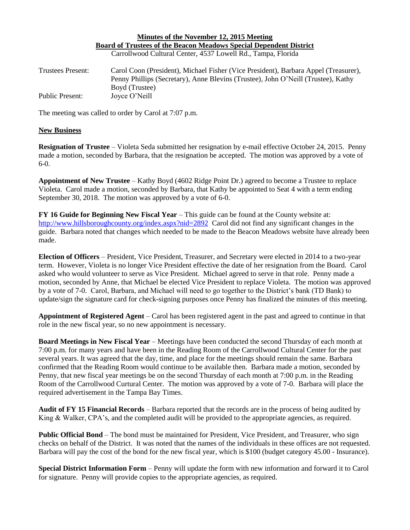#### **Minutes of the November 12, 2015 Meeting Board of Trustees of the Beacon Meadows Special Dependent District** Carrollwood Cultural Center, 4537 Lowell Rd., Tampa, Florida

| Trustees Present: | Carol Coon (President), Michael Fisher (Vice President), Barbara Appel (Treasurer), |
|-------------------|-------------------------------------------------------------------------------------|
|                   | Penny Phillips (Secretary), Anne Blevins (Trustee), John O'Neill (Trustee), Kathy   |
|                   | Boyd (Trustee)                                                                      |
| Public Present:   | Joyce O'Neill                                                                       |

The meeting was called to order by Carol at 7:07 p.m.

# **New Business**

**Resignation of Trustee** – Violeta Seda submitted her resignation by e-mail effective October 24, 2015. Penny made a motion, seconded by Barbara, that the resignation be accepted. The motion was approved by a vote of 6-0.

**Appointment of New Trustee** – Kathy Boyd (4602 Ridge Point Dr.) agreed to become a Trustee to replace Violeta. Carol made a motion, seconded by Barbara, that Kathy be appointed to Seat 4 with a term ending September 30, 2018. The motion was approved by a vote of 6-0.

**FY 16 Guide for Beginning New Fiscal Year** – This guide can be found at the County website at: <http://www.hillsboroughcounty.org/index.aspx?nid=2892>Carol did not find any significant changes in the guide. Barbara noted that changes which needed to be made to the Beacon Meadows website have already been made.

**Election of Officers** – President, Vice President, Treasurer, and Secretary were elected in 2014 to a two-year term. However, Violeta is no longer Vice President effective the date of her resignation from the Board. Carol asked who would volunteer to serve as Vice President. Michael agreed to serve in that role. Penny made a motion, seconded by Anne, that Michael be elected Vice President to replace Violeta. The motion was approved by a vote of 7-0. Carol, Barbara, and Michael will need to go together to the District's bank (TD Bank) to update/sign the signature card for check-signing purposes once Penny has finalized the minutes of this meeting.

**Appointment of Registered Agent** – Carol has been registered agent in the past and agreed to continue in that role in the new fiscal year, so no new appointment is necessary.

**Board Meetings in New Fiscal Year** – Meetings have been conducted the second Thursday of each month at 7:00 p.m. for many years and have been in the Reading Room of the Carrollwood Cultural Center for the past several years. It was agreed that the day, time, and place for the meetings should remain the same. Barbara confirmed that the Reading Room would continue to be available then. Barbara made a motion, seconded by Penny, that new fiscal year meetings be on the second Thursday of each month at 7:00 p.m. in the Reading Room of the Carrollwood Curtural Center. The motion was approved by a vote of 7-0. Barbara will place the required advertisement in the Tampa Bay Times.

**Audit of FY 15 Financial Records** – Barbara reported that the records are in the process of being audited by King & Walker, CPA's, and the completed audit will be provided to the appropriate agencies, as required.

**Public Official Bond** – The bond must be maintained for President, Vice President, and Treasurer, who sign checks on behalf of the District. It was noted that the names of the individuals in these offices are not requested. Barbara will pay the cost of the bond for the new fiscal year, which is \$100 (budget category 45.00 - Insurance).

**Special District Information Form** – Penny will update the form with new information and forward it to Carol for signature. Penny will provide copies to the appropriate agencies, as required.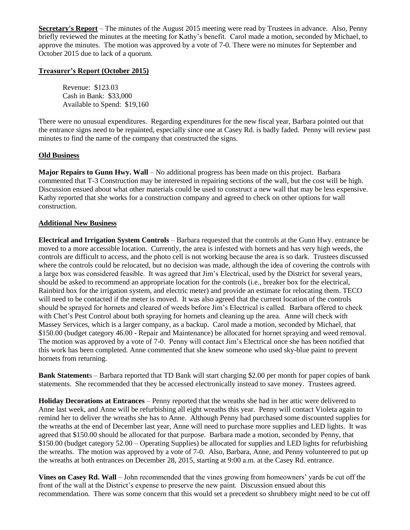**Secretary's Report** – The minutes of the August 2015 meeting were read by Trustees in advance. Also, Penny briefly reviewed the minutes at the meeting for Kathy's benefit. Carol made a motion, seconded by Michael, to approve the minutes. The motion was approved by a vote of 7-0. There were no minutes for September and October 2015 due to lack of a quorum.

# **Treasurer's Report (October 2015)**

Revenue: \$123.03 Cash in Bank: \$33,000 Available to Spend: \$19,160

There were no unusual expenditures. Regarding expenditures for the new fiscal year, Barbara pointed out that the entrance signs need to be repainted, especially since one at Casey Rd. is badly faded. Penny will review past minutes to find the name of the company that constructed the signs.

# **Old Business**

**Major Repairs to Gunn Hwy. Wall** – No additional progress has been made on this project. Barbara commented that T-3 Construction may be interested in repairing sections of the wall, but the cost will be high. Discussion ensued about what other materials could be used to construct a new wall that may be less expensive. Kathy reported that she works for a construction company and agreed to check on other options for wall construction.

# **Additional New Business**

**Electrical and Irrigation System Controls** – Barbara requested that the controls at the Gunn Hwy. entrance be moved to a more accessible location. Currently, the area is infested with hornets and has very high weeds, the controls are difficult to access, and the photo cell is not working because the area is so dark. Trustees discussed where the controls could be relocated, but no decision was made, although the idea of covering the controls with a large box was considered feasible. It was agreed that Jim's Electrical, used by the District for several years, should be asked to recommend an appropriate location for the controls (i.e., breaker box for the electrical, Rainbird box for the irrigation system, and electric meter) and provide an estimate for relocating them. TECO will need to be contacted if the meter is moved. It was also agreed that the current location of the controls should be sprayed for hornets and cleared of weeds before Jim's Electrical is called. Barbara offered to check with Chet's Pest Control about both spraying for hornets and cleaning up the area. Anne will check with Massey Services, which is a larger company, as a backup. Carol made a motion, seconded by Michael, that \$150.00 (budget category 46.00 - Repair and Maintenance) be allocated for hornet spraying and weed removal. The motion was approved by a vote of 7-0. Penny will contact Jim's Electrical once she has been notified that this work has been completed. Anne commented that she knew someone who used sky-blue paint to prevent hornets from returning.

**Bank Statement**s – Barbara reported that TD Bank will start charging \$2.00 per month for paper copies of bank statements. She recommended that they be accessed electronically instead to save money. Trustees agreed.

**Holiday Decorations at Entrances** – Penny reported that the wreaths she had in her attic were delivered to Anne last week, and Anne will be refurbishing all eight wreaths this year. Penny will contact Violeta again to remind her to deliver the wreaths she has to Anne. Although Penny had purchased some discounted supplies for the wreaths at the end of December last year, Anne will need to purchase more supplies and LED lights. It was agreed that \$150.00 should be allocated for that purpose. Barbara made a motion, seconded by Penny, that \$150.00 (budget category 52.00 – Operating Supplies) be allocated for supplies and LED lights for refurbishing the wreaths. The motion was approved by a vote of 7-0. Also, Barbara, Anne, and Penny volunteered to put up the wreaths at both entrances on December 28, 2015, starting at 9:00 a.m. at the Casey Rd. entrance.

**Vines on Casey Rd. Wall** – John recommended that the vines growing from homeowners' yards be cut off the front of the wall at the District's expense to preserve the new paint. Discussion ensued about this recommendation. There was some concern that this would set a precedent so shrubbery might need to be cut off